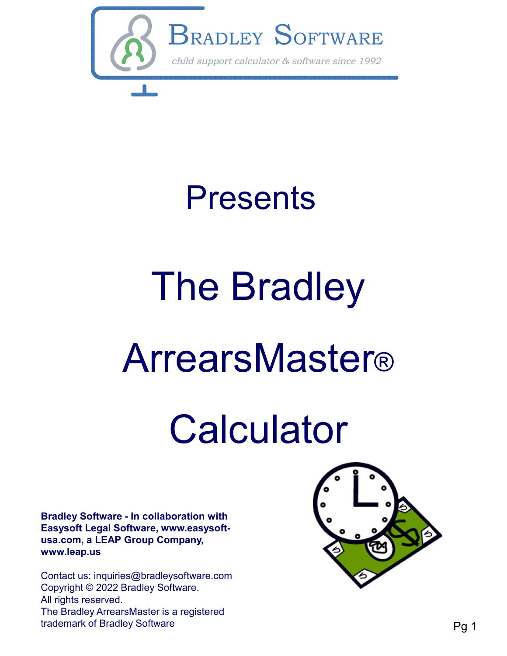

# Presents

# The Bradley **ArrearsMaster®** Bradley Software - In collaboration with<br>Easysoft Legal Software - In collaboration with<br>Easysoft Legal Software, www.easysoft-<br>Wax...Com, a LEAP Group Company,

# **Calculator**

Easysoft Legal Software, www.easysoftusa.com, a LEAP Group Company, www.leap.us

Contact us: inquiries@bradleysoftware.com Copyright © 2022 Bradley Software. All rights reserved. The Bradley ArrearsMaster is a registered trademark of Bradley Software

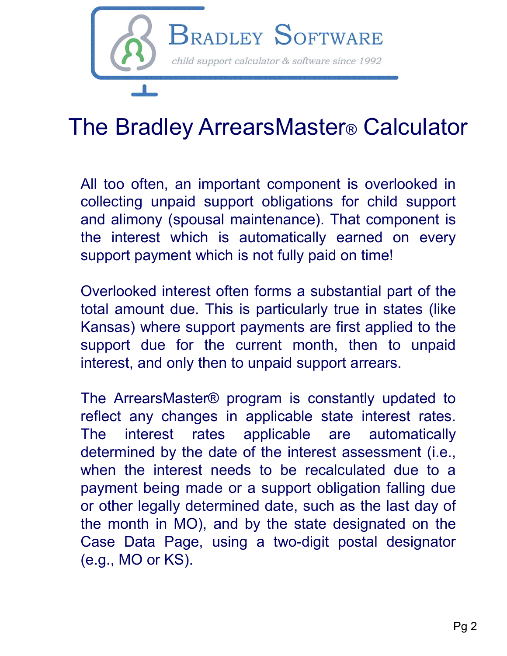

## The Bradley ArrearsMaster® Calculator

**band alimony (Soff TWARE**<br> **and alimony calculator & software since 1992**<br> **he Bradley ArrearsMaster® Calculator**<br>
All too often, an important component is overlooked in<br>
collecting unpaid support obligations for child su BRADLEY SOFTWARE<br>
The Bradley ArrearsMaster® Calculator<br>
All too often, an important component is overlooked in<br>
collecting unpaid support obligations for child support<br>
and alimony (spousal maintenance). That component is **EXAMPLE 1 SOOF TWIKE**<br>
Child support calculator & software since 1992<br>
The Bradley ArrearsMaster® Calculator<br>
All too often, an important component is overlooked in<br>
collecting unpaid support obligations for child support The Bradley ArrearsMaster® Calculator<br>
All too often, an important component is overlooked in<br>
collecting unpaid support obligations for child support<br>
and alimony (spousal maintenance). That component is<br>
the interest whi The Bradley ArrearsMaster® Calculator<br>
All too often, an important component is overlooked in<br>
collecting unpaid support obligations for child support<br>
and alimony (spousal maintenance). That component is<br>
the interest whi The Bradley ArrearsMaster® Calculator<br>
All too often, an important component is overlooked in<br>
collecting unpaid support obligations for child support<br>
and alimony (spousal maintenance). That component is<br>
the interest whi The Braciley Affred Sividater® Odiculater<br>and loo often, an important component is overlooked in<br>collecting unpaid support obligations for child support<br>and alimony (spousal maintenance). That component is<br>the interest whi All too often, an important component is overlooked in collecting unpaid support obligations for child support and alimony (spousal maintenance). That component is the interest which is automatically earned on every suppor

Arrears which are important component is overlooked in<br>collecting unpaid support obligations for child support<br>and alimony (spousal maintenance). That component is<br>the interest which is automatically earned on every<br>suppor collecting unpaid support obilgations for critic support<br>and alimony (spousal maintenance). That component is<br>the interest which is automatically earned on every<br>support payment which is not fully paid on time!<br>Overlooked

and annony (spousar manuerance). That component is<br>the interest which is automatically earned on every<br>support payment which is not fully paid on time!<br>Overlooked interest often forms a substantial part of the<br>total amount The Interest which is automatically earlied on every<br>support payment which is not fully paid on time!<br>Overlooked interest often forms a substantial part of the<br>total amount due. This is particularly true in states (like<br>Ka support payment which is not tany paid on time!<br>Overlooked interest often forms a substantial part of the<br>total amount due. This is particularly true in states (like<br>Kansas) where support payments are first applied to the<br> Overlooked interest often forms a substantial part of the<br>total amount due. This is particularly true in states (like<br>Kansas) where support payments are first applied to the<br>support due for the current month, then to unpai Overlooked linetest offer lorms a substantial part of the<br>total amount due. This is particularly true in states (like<br>Kansas) where support payments are first applied to the<br>support due for the current month, then to unpai following the month in the month in MO), and by the state of the current month, then to unpaid interest, and only then to unpaid support arrears.<br>The ArrearsMaster® program is constantly updated to reflect any changes in a Natisas) where support payments are inst applied to the<br>support due for the current month, then to unpaid<br>interest, and only then to unpaid support arrears.<br>The ArrearsMaster® program is constantly updated to<br>reflect any c support due for the current month, then to dip<br>interest, and only then to unpaid support arrears.<br>The ArrearsMaster® program is constantly updated<br>reflect any changes in applicable state interest rat<br>The interest rates app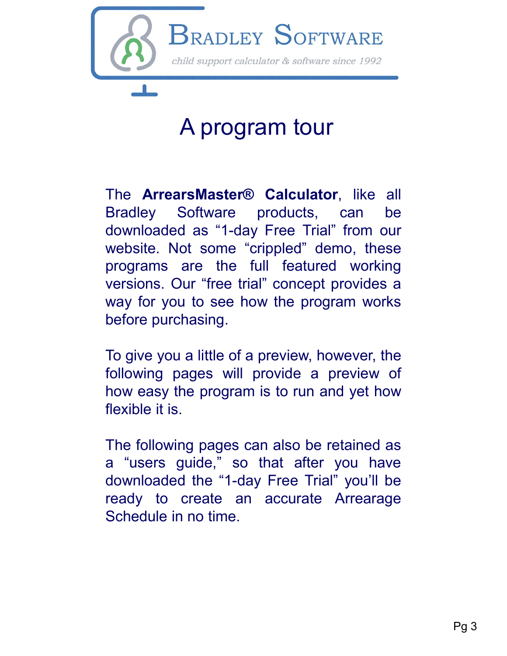

# A program tour

BRADLEY SOFTWARE<br>
A program tour<br>
The ArrearsMaster® Calculator, like all<br>
Bradley Software products, can be<br>
downloaded as "1-day Free Trial" from our<br>
website. Not some "crippled" demo, these<br>
programs are the full featu **EXADLEY SOFTWARE**<br>
A program tour<br>
The **ArrearsMaster® Calculator**, like all<br>
Bradley Software products, can be<br>
downloaded as "1-day Free Tial" from our<br>
website. Not some "crippled" demo, these<br>
programs are the full fe **Program tour**<br> **A program tour**<br> **A program tour**<br>
The **ArrearsMaster® Calculator**, like all<br>
Bradley Software products, can be<br>
downloaded as "1-day Free Trial" from our<br>
website. Not some "crippled" demo, these<br>
program **A program tour**<br>The **ArrearsMaster® Calculator**, like all<br>Bradley Software products, can be<br>downloaded as "1-day Free Trial" from our<br>website. Not some "crippled" demo, these<br>programs are the full featured working<br>version **Example 18 A program tour**<br>The **ArrearsMaster® Calculator**, like all<br>Bradley Software products, can be<br>downloaded as "1-day Free Trial" from our<br>website. Not some "crippled" demo, these<br>programs are the full featured work A program tour<br>The **ArrearsMaster® Calculator**, like all<br>Bradley Software products, can be<br>downloaded as "1-day Free Trial" from our<br>website. Not some "crippled" demo, these<br>programs are the full featured working<br>versions. The **ArrearsMaster® Calculator**, like all<br>Bradley Software products, can be<br>downloaded as "1-day Free Trial" from our<br>website. Not some "crippled" demo, these<br>programs are the full featured working<br>versions. Our "free tria The **ArrearsMaster® Calculator**, like all<br>Bradley Software products, can be<br>downloaded as "1-day Free Trial" from our<br>website. Not some "crippled" demo, these<br>programs are the full featured working<br>versions. Our "free tria The **ArrearsMaster® Calculator**, like all<br>Bradley Software products, can be<br>downloaded as "1-day Free Trial" from our<br>website. Not some "crippled" demo, these<br>programs are the full featured working<br>versions. Our "free tria The **Arleal smaster® Calculator**, like all<br>Bradley Software products, can be<br>downloaded as "1-day Free Trial" from our<br>website. Not some "crippled" demo, these<br>programs are the full featured working<br>versions. Our "free tri downloaded as T-day Free That Holm our<br>website. Not some "crippled" demo, these<br>programs are the full featured working<br>versions. Our "free trial" concept provides a<br>way for you to see how the program works<br>before purchasin

website. Not some crippled demo, these<br>programs are the full featured working<br>versions. Our "free trial" concept provides a<br>way for you to see how the program works<br>before purchasing.<br>To give you a little of a preview, how programs are the full featured working<br>versions. Our "free trial" concept provides a<br>way for you to see how the program works<br>before purchasing.<br>To give you a little of a preview, however, the<br>following pages will provide versions. Our life that concept provides a<br>way for you to see how the program works<br>before purchasing.<br>To give you a little of a preview, however, the<br>following pages will provide a preview of<br>how easy the program is to ru Way for you to see now the program works<br>before purchasing.<br>To give you a little of a preview, however, the<br>following pages will provide a preview of<br>how easy the program is to run and yet how<br>flexible it is.<br>The following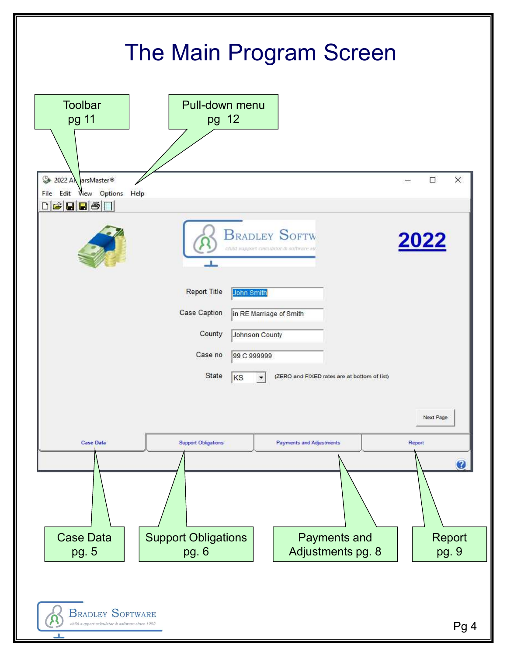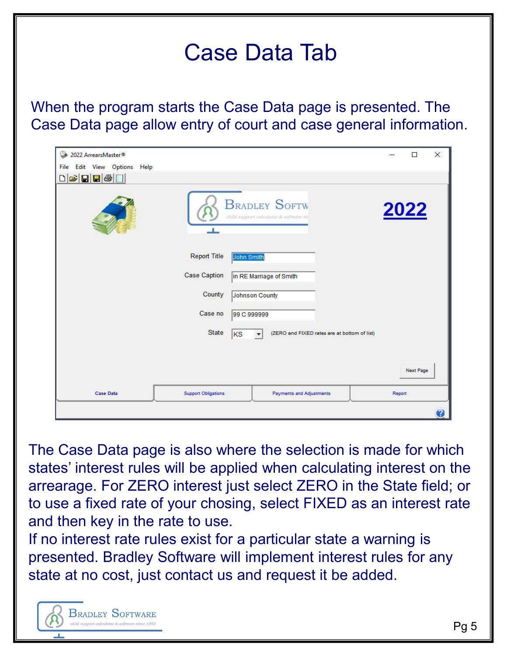## Case Data Tab

When the program starts the Case Data page is presented. The Case Data page allow entry of court and case general information.

| 2022 ArrearsMaster®                                                                                                                            |                            |                         |                                                                   |        | $\Box$    | $\times$ |
|------------------------------------------------------------------------------------------------------------------------------------------------|----------------------------|-------------------------|-------------------------------------------------------------------|--------|-----------|----------|
| Edit View Options Help<br>File                                                                                                                 |                            |                         |                                                                   |        |           |          |
| $\begin{array}{c} \text{or} \\ \text{or} \\ \text{or} \end{array} \begin{array}{ c c } \hline \text{or} \\ \text{or} \\ \text{or} \end{array}$ |                            |                         |                                                                   |        |           |          |
|                                                                                                                                                | -8                         |                         | <b>BRADLEY SOFTW</b><br>child support calculator & sufficure kit. |        | 2022      |          |
|                                                                                                                                                | <b>Report Title</b>        | John Smith              |                                                                   |        |           |          |
|                                                                                                                                                | Case Caption               | in RE Marriage of Smith |                                                                   |        |           |          |
|                                                                                                                                                | County                     | Johnson County          |                                                                   |        |           |          |
|                                                                                                                                                | Case no                    | 99 C 999999             |                                                                   |        |           |          |
|                                                                                                                                                | State                      | KS                      | (ZERO and FIXED rates are at bottom of list)                      |        |           |          |
|                                                                                                                                                |                            |                         |                                                                   |        |           |          |
|                                                                                                                                                |                            |                         |                                                                   |        | Next Page |          |
| <b>Case Data</b>                                                                                                                               | <b>Support Obligations</b> |                         | <b>Payments and Adjustments</b>                                   | Report |           |          |
|                                                                                                                                                |                            |                         |                                                                   |        |           | Ø        |

The Case Data page is also where the selection is made for which states' interest rules will be applied when calculating interest on the arrearage. For ZERO interest just select ZERO in the State field; or to use a fixed rate of your chosing, select FIXED as an interest rate and then key in the rate to use.

If no interest rate rules exist for a particular state a warning is presented. Bradley Software will implement interest rules for any state at no cost, just contact us and request it be added.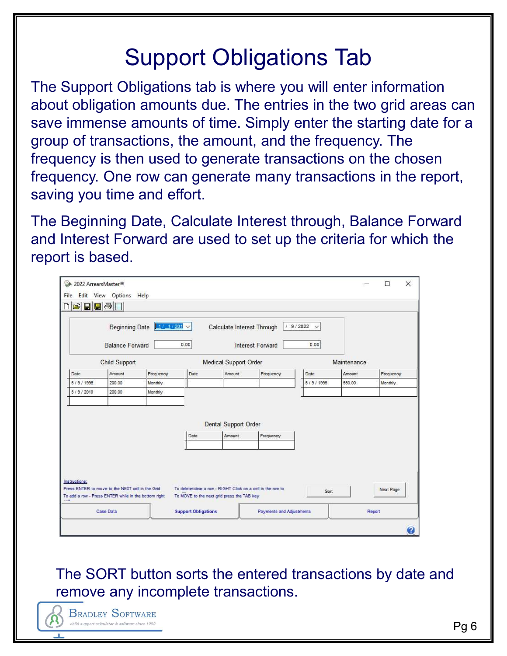# Support Obligations Tab

The Support Obligations tab is where you will enter information about obligation amounts due. The entries in the two grid areas can save immense amounts of time. Simply enter the starting date for a group of transactions, the amount, and the frequency. The frequency is then used to generate transactions on the chosen frequency. One row can generate many transactions in the report, saving you time and effort.

The Beginning Date, Calculate Interest through, Balance Forward and Interest Forward are used to set up the criteria for which the report is based.

|               | <b>Beginning Date</b><br><b>Balance Forward</b>                                                          | $1/1/201$ $\times$ | 0.00 | Calculate Interest Through                                  | <b>Interest Forward</b> | 19/2022<br>$\ddotmark$<br>0.00 |             |           |
|---------------|----------------------------------------------------------------------------------------------------------|--------------------|------|-------------------------------------------------------------|-------------------------|--------------------------------|-------------|-----------|
|               | <b>Child Support</b>                                                                                     |                    |      | <b>Medical Support Order</b>                                |                         |                                | Maintenance |           |
| Date          | Amount                                                                                                   | Frequency          | Date | Amount                                                      | Frequency               | Date                           | Amount      | Frequency |
| 5/9/1996      | 200.00                                                                                                   | Monthly            |      |                                                             |                         | 5/9/1996                       | 550.00      | Monthly   |
| 5/9/2010      | 200.00                                                                                                   | Monthly            |      |                                                             |                         |                                |             |           |
|               |                                                                                                          |                    | Date | <b>Dental Support Order</b><br>Amount                       | Frequency               |                                |             |           |
|               |                                                                                                          |                    |      |                                                             |                         |                                |             |           |
| Instructions: |                                                                                                          |                    |      | To delete/clear a row - RIGHT Click on a cell in the row to |                         | Sort                           |             | Next Page |
|               | Press ENTER to move to the NEXT cell in the Grid<br>To add a row - Press ENTER while in the bottom right |                    |      | To MOVE to the next grid press the TAB key                  |                         |                                |             |           |

The SORT button sorts the entered transactions by date and remove any incomplete transactions.

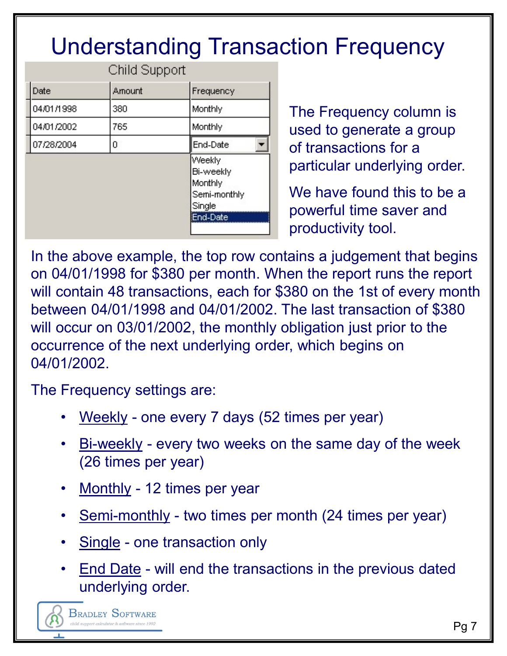# Understanding Transaction Frequency

|            | Child Support |                                                          |
|------------|---------------|----------------------------------------------------------|
| Date       | Amount        | Frequency                                                |
| 04/01/1998 | 380           | Monthly                                                  |
| 04/01/2002 | 765           | Monthly                                                  |
| 07/28/2004 | 0             | End-Date                                                 |
|            |               | Weekly<br>Bi-weekly<br>Monthly<br>Semi-monthly<br>Single |
|            |               | End-Date                                                 |

The Frequency column is used to generate a group of transactions for a particular underlying order.

We have found this to be a powerful time saver and productivity tool.

In the above example, the top row contains a judgement that begins on 04/01/1998 for \$380 per month. When the report runs the report will contain 48 transactions, each for \$380 on the 1st of every month between 04/01/1998 and 04/01/2002. The last transaction of \$380 will occur on 03/01/2002, the monthly obligation just prior to the occurrence of the next underlying order, which begins on 04/01/2002. Fingle<br>
• Powerful time saver and<br>
• Powerful time saver and<br>
• Poductivity tool.<br>
• 4/01/1998 for \$380 per month. When the report runs the repor<br>
contain 48 transactions, each for \$380 on the 1st of every mon<br>
• een 04/01 • above example, the top row contains a judgement that begins<br>
4/01/1998 for \$380 per month. When the report runs the report<br>
contain 48 transactions, each for \$380 on the 1st of every month<br>
reen 04/01/1998 and 04/01/2002 4/01/1996 101 \$300 per monthl. Wrien the report runs to<br>contain 48 transactions, each for \$380 on the 1st of eveen 04/01/1998 and 04/01/2002. The last transaction<br>occur on 03/01/2002, the monthly obligation just prior to<br>p veen 04/01/1998 and 04/01/2002. The last transaction of \$380<br>
occur on 03/01/2002, the monthly obligation just prior to the<br>
rrence of the next underlying order, which begins on<br>
1/2002.<br>
Frequency settings are:<br>
• <u>Weekly</u> becall of 03/01/2002, the monthly obilgation just prior<br>trence of the next underlying order, which begins on<br>1/2002.<br>Frequency settings are:<br>• Weekly - one every 7 days (52 times per year)<br>• Bi-weekly - every two weeks on

The Frequency settings are:

- 
- (26 times per year) 1/2002.<br>
Frequency settings are:<br>
• <u>Weekly</u> - one every 7 days (52 times per year)<br>
• <u>Bi-weekly</u> - every two weeks on the same day of the week<br>
(26 times per year)<br>
• <u>Monthly</u> - 12 times per year<br>
• <u>Semi-monthly</u> - two
- 
- 
- 
- underlying order.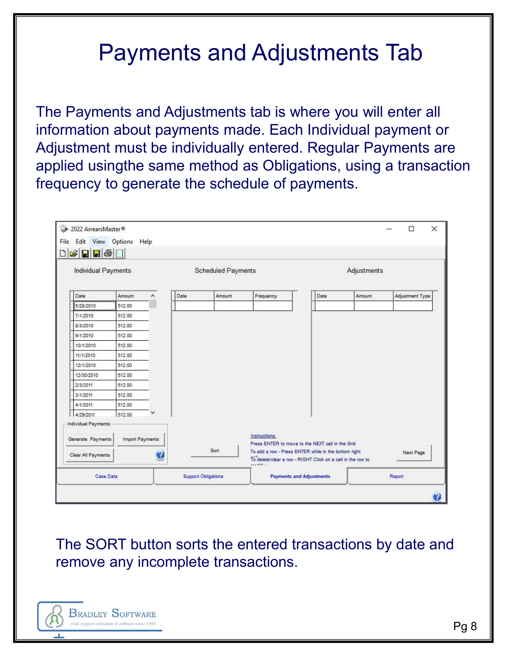# Payments and Adjustments Tab

The Payments and Adjustments tab is where you will enter all information about payments made. Each Individual payment or Adjustment must be individually entered. Regular Payments are applied usingthe same method as Obligations, using a transaction frequency to generate the schedule of payments.

|                                                                | Individual Payments |              |      | <b>Scheduled Payments</b> |               |                                                                                                          | Adjustments |                 |
|----------------------------------------------------------------|---------------------|--------------|------|---------------------------|---------------|----------------------------------------------------------------------------------------------------------|-------------|-----------------|
| Date                                                           | Amount              | ۸            | Date | Amount                    | Frequency     | Date                                                                                                     | Amount      | Adjustment Type |
| 6/28/2010                                                      | 512.00              |              |      |                           |               |                                                                                                          |             |                 |
| 7/1/2010                                                       | 512.00              |              |      |                           |               |                                                                                                          |             |                 |
| 8/3/2010                                                       | 512.00              |              |      |                           |               |                                                                                                          |             |                 |
| 9/1/2010                                                       | 512.00              |              |      |                           |               |                                                                                                          |             |                 |
| 10/1/2010                                                      | 512.00              |              |      |                           |               |                                                                                                          |             |                 |
| 11/1/2010                                                      | 512.00              |              |      |                           |               |                                                                                                          |             |                 |
| 12/1/2010                                                      | 512.00              |              |      |                           |               |                                                                                                          |             |                 |
| 12/30/2010                                                     | 512.00              |              |      |                           |               |                                                                                                          |             |                 |
| 2/3/2011                                                       | 512.00              |              |      |                           |               |                                                                                                          |             |                 |
|                                                                | 512.00              |              |      |                           |               |                                                                                                          |             |                 |
| 3/1/2011                                                       |                     |              |      |                           |               |                                                                                                          |             |                 |
| 4/1/2011                                                       | 512.00              |              |      |                           |               |                                                                                                          |             |                 |
| 4/29/2011                                                      | 512.00              |              |      |                           |               |                                                                                                          |             |                 |
|                                                                |                     |              |      |                           |               |                                                                                                          |             |                 |
|                                                                | Import Payments     |              |      |                           | Instructions: |                                                                                                          |             |                 |
| Individual Payments<br>Generate Payments<br>Clear All Payments |                     | $\mathbf{C}$ |      | Sort                      |               | Press ENTER to move to the NEXT cell in the Grid<br>To add a row - Press ENTER while in the bottom right |             | Next Page       |

The SORT button sorts the entered transactions by date and remove any incomplete transactions.

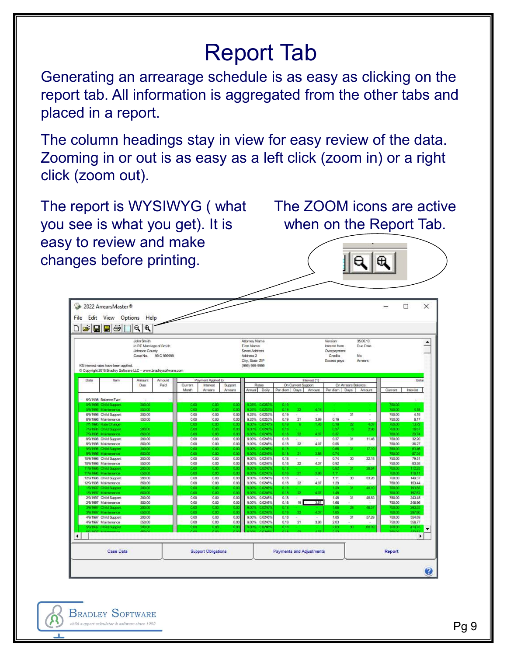# Report Tab

Generating an arrearage schedule is as easy as clicking on the report tab. All information is aggregated from the other tabs and placed in a report.

The column headings stay in view for easy review of the data. Zooming in or out is as easy as a left click (zoom in) or a right click (zoom out).

The report is WYSIWYG ( what you see is what you get). It is easy to review and make changes before printing.

The ZOOM icons are active when on the Report Tab.

 $\mathbf{a}$ 

|      |                                                                                                         | DGBB@DQ                                                             |                   |                      |                          |                        |                                                                                                |                                     |                        |                                 |              |                                                                   |                    |                                              |                            |                                  |
|------|---------------------------------------------------------------------------------------------------------|---------------------------------------------------------------------|-------------------|----------------------|--------------------------|------------------------|------------------------------------------------------------------------------------------------|-------------------------------------|------------------------|---------------------------------|--------------|-------------------------------------------------------------------|--------------------|----------------------------------------------|----------------------------|----------------------------------|
|      | KS interest rates have been applied.<br>C Copyright 2018 Bradley Software LLC - www.bradleysoftware.com | John Smith<br>in RE Marriage of Smith<br>Johnson County<br>Case No. | 99 C 999999       |                      |                          |                        | Attorney Name<br>Firm Name<br>Street Address<br>Address 2<br>City, State ZIP<br>(999) 999-9999 |                                     |                        |                                 |              | Version<br>Interest from<br>Overpayment<br>Credits<br>Excess pays |                    | 35.00.10<br>Due Date<br>No<br><b>Arrests</b> |                            |                                  |
| Date | <b>Bern</b>                                                                                             | Amount.                                                             | <b>Arricurrit</b> |                      | Payment Applied to       |                        |                                                                                                |                                     |                        |                                 | Interest (1) |                                                                   |                    |                                              |                            | Balan                            |
|      |                                                                                                         | <b>Due</b>                                                          | Paid              | Current              | <b>Interest</b>          | Support                |                                                                                                | Rates                               |                        | On Current Support              |              |                                                                   | On Arrears Balance |                                              |                            |                                  |
|      |                                                                                                         |                                                                     |                   | Month                | Arrests                  | Arrests                | Armural                                                                                        | Daily                               | Per diem               | Days                            | Amount       | Per diem                                                          | Days               | Amount                                       | Current                    | Interest                         |
|      | 5/9/1996 Balance Fwd<br>5/9/1996 Child Support<br>5/9/1996 Maintenance                                  | Sä.<br>200.00<br>550.00                                             |                   | 0.00<br>0.00         | 0.001<br>000             | 0 <sup>o</sup><br>0.00 | 3.25%                                                                                          | 9.25% 0.0253%<br>0.0253%            | 0.19<br>0.19           | $\mathbf{z}$                    | 4.18         |                                                                   |                    |                                              | 750.00<br>750.00           | $\sim$<br>4.18                   |
|      | 6/9/1996 Child Support<br>6/9/1996 Maintenance                                                          | 200.00<br>550.00                                                    |                   | 0.00<br>0.00         | 0.00<br>0.00             | 0.00<br>0.00           | 9.25%<br>9.25%                                                                                 | 0.0253%<br>0.0253%                  | 0.19<br>0.19           | z<br>21                         | 3.99         | 0.19                                                              | 31                 | ÷<br>$\sim$                                  | 750.00<br>750.00           | 4.18<br>8.17                     |
|      | 7/1/1996 Rate Change<br>7/9/1996 Child Support<br>7/9/1996 Maintenance                                  | 200.00<br>550.00                                                    |                   | 8.00<br>0.00<br>0.00 | 0.001<br>0.00<br>0.00    | 8.00<br>0.00<br>8.00   | 9.00%<br>9.00%                                                                                 | 9.00% 0.0246%<br>0.0246%<br>0.02465 | 0.18.<br>6.18<br>0.18  | a.<br>22.                       | 1.48<br>4.07 | 0.18<br>0.37<br>0.37                                              | 22<br>ă            | 4.07<br>2.96                                 | 750.00<br>750.00<br>750.00 | 13.72<br>16.67<br>20.74          |
|      | 8/9/1996 Child Support<br>8/9/1996 Maintenance                                                          | 200.00<br>550.00                                                    |                   | 0.00<br>0.00         | 0.00<br>0.00             | 0.00<br>0.00           | 9.00%<br>9.00%                                                                                 | 0.0246%<br>0.0246%                  | 0.18<br>0.18           | ÷<br>22                         | 4.07         | 0.37<br>0.55                                                      | 31                 | 11.46                                        | 750.00<br>750.00           | 32.20<br>36.27                   |
|      | 99/1996 Child Support<br>9/9/1996 Maintenance<br>10/9/1996 Child Support                                | 200.00<br>550.00<br>200.00                                          |                   | 0.00<br>9.00<br>0.00 | $000 -$<br>0.00<br>0.00  | 0 OO<br>8.00<br>0.00   | 9.00%<br>9.00%<br>9.00%                                                                        | 0.02465<br>0.0246%<br>0.0246%       | 0.18<br>0.18<br>0.18   | 21.<br>$\overline{\phantom{a}}$ | 3.88         | 0.55<br>0.74<br>0.74                                              | 31<br>30           | 17.19<br>22.18                               | 750.00<br>750.00<br>750.00 | 53.46<br>57.34<br>79.51          |
|      | 10/9/1996 Maintenance<br>11/9/1996 Child Support                                                        | 550.00<br>200.00                                                    |                   | 0.00<br>0.00         | 0.00<br>$0.00 -$         | 0.00<br>0.00           | $9.00\%$<br>9.00%                                                                              | 0.0246%<br>0.02465                  | 0.18<br>0.18           | 22                              | 4.07         | 0.92<br>0.92                                                      | 31.                | 28.64                                        | 750.00<br>750.00           | 83.58<br>112.23                  |
|      | 11/9/1996 Maintenance<br>12/9/1996 Child Support<br>12/9/1996 Maintenance                               | 550.00<br>200.00<br>550.00                                          |                   | 0.00<br>0.00<br>0.00 | 0.00<br>0.00<br>0.00     | 0.00<br>0.00<br>0.00   | 9.00%<br>$9.00\%$<br>9.00%                                                                     | 0.02485<br>0.0246%<br>0.0246%       | 0.18<br>0.18<br>0.18   | 211<br>÷<br>22                  | 3.88<br>4.07 | 1.11<br>1.11<br>1.29                                              | 30<br>÷.           | 33.26<br>n.                                  | 750.00<br>750.00<br>750.00 | 116.11<br>149.37<br>153.44       |
|      | 1/9/1997 Child Support<br>1/9/1997 Maintenance                                                          | 200.00<br>550.00                                                    |                   | 0.00<br>9.00         | aaa.<br>000              | 0.00<br>0.00           | 9.00%<br>9.00%                                                                                 | 0.0246°<br>0.0246%                  | 0.18<br>0.18           | $\mathfrak{D}$                  | 4.67         | 129<br>1.48                                                       | 31                 | 40.10                                        | 750.00<br>750.00           | 193.55<br>197.62                 |
|      | 2/9/1997 Child Support<br>2/9/1997 Maintenance<br>39/1997 Child Support                                 | 200.00<br>550.00<br>200.00                                          |                   | 0.00<br>0.00<br>0.00 | 0.00<br>0.00<br>$0.00 -$ | 0.00<br>0.00<br>0.00   | 9.00%<br>9.00%<br>9.00%                                                                        | 0.0246%<br>0.0246%<br>0.02465       | 0.18<br>0.18<br>6.18   | ٠<br>19.1                       | 3.51         | 1.48<br>1.66<br>1.66                                              | 31<br>28           | 45.83<br>46.57                               | 750.00<br>750.00<br>750.00 | 243.45<br>246.96<br>293.53       |
|      | 3/9/1997 Maintenance<br>4/9/1997 Child Support                                                          | 550.00<br>200.00                                                    |                   | 8.00<br>0.00         | aco-<br>0.00             | 8.00<br>0.00           | 9.00%<br>9.00%                                                                                 | 0.02465<br>0.0246%                  | 0.18<br>0.18           | 22.<br>÷                        | 4.07         | 1.85<br>1.85                                                      | 31                 | 57.29                                        | 750.00<br>750.00           | 297.60<br>354.89                 |
|      | 4/9/1997 Maintenance<br>5/9/1997 Child Support                                                          | 550.00<br>200.00<br>ciab cel                                        |                   | 0.00<br>0.00<br>n on | 0.00<br>0.001<br>tina.   | 0.00<br>0.00<br>h cu   | 9.00%<br>9.00%                                                                                 | 0.0246%<br>0.02461                  | 0.18<br>0.18<br>ora de | 21                              | 3.88         | 2.03<br>201<br><b>bidd</b>                                        | 30                 | 60.99                                        | 750.00<br>750.00           | 358.77<br>419.75<br><b>China</b> |

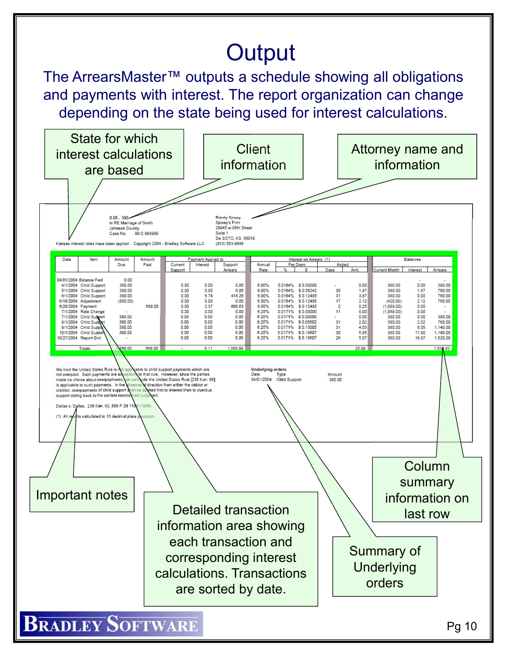# **Output**

The ArrearsMaster™ outputs a schedule showing all obligations and payments with interest. The report organization can change depending on the state being used for interest calculations.

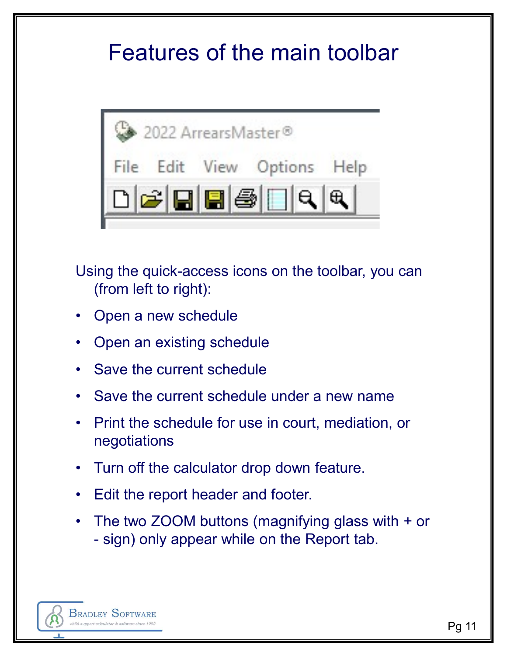## Features of the main toolbar



Using the quick-access icons on the toolbar, you can (from left to right): Fried of the schedule<br>
• Prince for use in the top into the schedule<br>
• Open an ewischedule<br>
• Save the current schedule<br>
• Save the current schedule under a new name<br>
• Print the schedule for use in court, mediation, or<br> Using the quick-access icons on the toolbar, you can<br>
(from left to right):<br>
• Open a new schedule<br>
• Open an existing schedule<br>
• Save the current schedule<br>
• Save the current schedule under a new name<br>
• Print the schedu

- 
- 
- 
- 
- negotiations (from left to right):<br>
• Open a new schedule<br>
• Open an existing schedule<br>
• Save the current schedule<br>
• Save the current schedule under a new nam<br>
• Print the schedule for use in court, mediatior<br>
• Turn off the calculat Open an existing schedule<br>
Save the current schedule<br>
Save the current schedule under a new nar<br>
Print the schedule for use in court, mediatio<br>
negotiations<br>
Turn off the calculator drop down feature.<br>
Edit the report head
- 
- 
- Open a new schedule<br>
 Save the current schedule<br>
 Save the current schedule under a new name<br>
 Print the schedule for use in court, mediation, or<br>
 Print the schedule for use in court, mediation, or<br>
 Turn off the c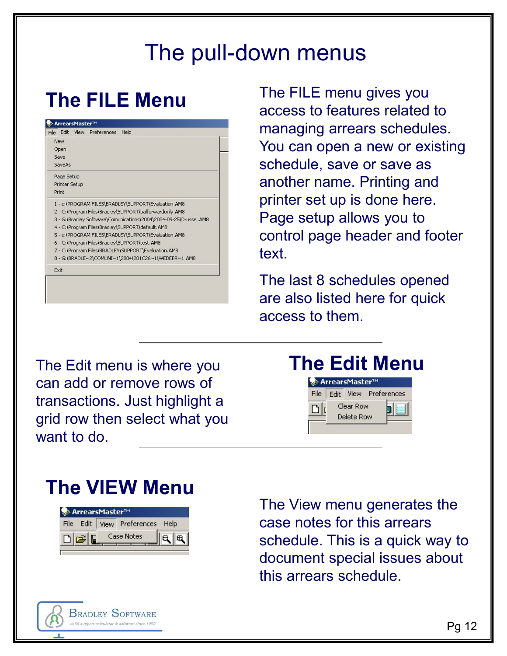#### The pull-down menus

#### The FILE Menu

| File Edit     | View Preferences | Help |                                                                   |
|---------------|------------------|------|-------------------------------------------------------------------|
| New           |                  |      |                                                                   |
| Open          |                  |      |                                                                   |
| Save          |                  |      |                                                                   |
| SaveAs        |                  |      |                                                                   |
| Page Setup    |                  |      |                                                                   |
| Printer Setup |                  |      |                                                                   |
| Print         |                  |      |                                                                   |
|               |                  |      | 1 - c:\PROGRAM FILES\BRADLEY\SUPPORT\Evaluation.AM8               |
|               |                  |      | 2 - C:\Program Files\Bradley\SUPPORT\balforwardonly.AM8           |
|               |                  |      | 3 - G:\Bradley Software\Comunications\2004\2004-09-25\Drussel.AM8 |
|               |                  |      | 4 - C:\Program Files\Bradley\SUPPORT\default.AM8                  |
|               |                  |      | 5 - c:\PROGRAM FILES\BRADLEY\SUPPORT\Evaluation.AM8               |
|               |                  |      | 6 - C:\Program Files\Bradley\SUPPORT\test.AM8                     |
|               |                  |      | 7 - C:\Program Files\BRADLEY\SUPPORT\Evaluation.AM8               |
|               |                  |      | 8 - G:\BRADLE~2\COMUNI~1\2004\201C26~1\WEDEBR~1.AM8               |
| Exit          |                  |      |                                                                   |

The FILE menu gives you access to features related to managing arrears schedules. You can open a new or existing schedule, save or save as another name. Printing and printer set up is done here. Page setup allows you to control page header and footer text

The last 8 schedules opened are also listed here for quick access to them.

The Edit menu is where you can add or remove rows of transactions. Just highlight a grid row then select what you want to do.

#### The Edit Menu



#### The VIEW Menu

|  | Se> ArrearsMaster™ |                                                                                 |  |
|--|--------------------|---------------------------------------------------------------------------------|--|
|  |                    | File Edit   View Preferences Help                                               |  |
|  |                    | $\mathcal{Z}$ $\begin{bmatrix} \blacksquare & \square \end{bmatrix}$ Case Notes |  |
|  |                    |                                                                                 |  |

**BRADLEY SOFTWARE** 

The View menu generates the case notes for this arrears schedule. This is a quick way to document special issues about this arrears schedule.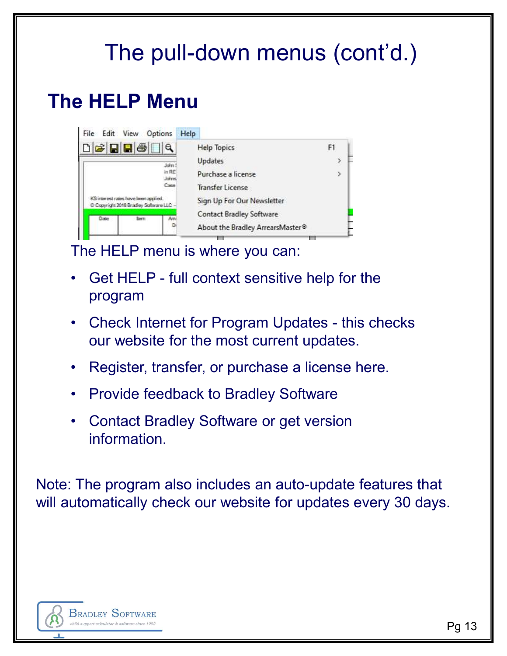# The pull-down menus (cont'd.)

#### The HELP Menu

|           | e HELP Menu                                                                                                 |
|-----------|-------------------------------------------------------------------------------------------------------------|
|           | File Edit View Options Help                                                                                 |
|           | <b>Help Topics</b><br>F1                                                                                    |
|           | Updates<br>Jahrn<br>in RE<br>Purchase a license                                                             |
|           | Jahre<br>Caron<br><b>Transfer License</b>                                                                   |
|           | KS interest rates have been applied.<br>Sign Up For Our Newsletter<br>C Copyright 2018 Bradley Software LLC |
|           | <b>Contact Bradley Software</b><br>Date<br>Totern                                                           |
|           | About the Bradley ArrearsMaster®                                                                            |
|           | The HELP menu is where you can:                                                                             |
|           |                                                                                                             |
| $\bullet$ | Get HELP - full context sensitive help for the                                                              |
|           | program                                                                                                     |
|           |                                                                                                             |
|           | • Check Internet for Program Updates - this checks                                                          |
|           | our website for the most current updates.                                                                   |
| $\bullet$ | Register, transfer, or purchase a license here.                                                             |
|           |                                                                                                             |
| $\bullet$ | <b>Provide feedback to Bradley Software</b>                                                                 |
| $\bullet$ | <b>Contact Bradley Software or get version</b>                                                              |
|           | information.                                                                                                |
|           |                                                                                                             |

- program
- our website for the most current updates. For the HELP menu is where you can:<br>
• Get HELP menu is where you can:<br>
• Get HELP - full context sensitive help for the program<br>
• Check Internet for Program Updates - this checks<br>
our website for the most current updates
- 
- 
- **information**

Note: The program also includes an auto-update features that will automatically check our website for updates every 30 days.

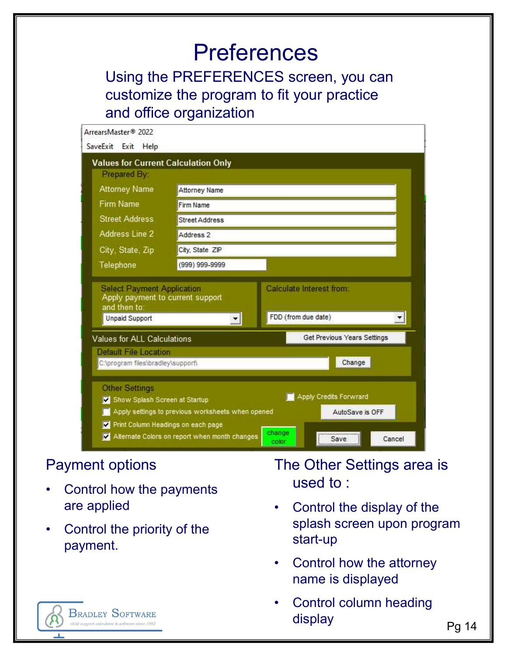#### **Preferences**

Using the PREFERENCES screen, you can customize the program to fit your practice and office organization

| ArrearsMaster® 2022                                                                       |                                                                                                                                          |                                                                                |  |
|-------------------------------------------------------------------------------------------|------------------------------------------------------------------------------------------------------------------------------------------|--------------------------------------------------------------------------------|--|
| SaveExit Exit Help                                                                        |                                                                                                                                          |                                                                                |  |
| <b>Values for Current Calculation Only</b><br>Prepared By:                                |                                                                                                                                          |                                                                                |  |
| <b>Attorney Name</b>                                                                      | Attorney Name                                                                                                                            |                                                                                |  |
| Firm Name                                                                                 | <b>Firm Name</b>                                                                                                                         |                                                                                |  |
| <b>Street Address</b>                                                                     | <b>Street Address</b>                                                                                                                    |                                                                                |  |
| Address Line 2                                                                            | Address 2                                                                                                                                |                                                                                |  |
| City, State, Zip                                                                          | City, State ZIP                                                                                                                          |                                                                                |  |
| Telephone                                                                                 | $(999)$ 999-9999                                                                                                                         |                                                                                |  |
| <b>Select Payment Application</b><br>and then to:<br><b>Unpaid Support</b>                | Apply payment to current support<br>$\mathbf{r}$                                                                                         | Calculate Interest from:<br>FDD (from due date)<br>회                           |  |
| Values for ALL Calculations<br>Default File Location<br>C:\program files\bradley\support\ |                                                                                                                                          | Get Previous Years Settings<br>Change                                          |  |
| <b>Other Settings</b><br>Show Splash Screen at Startup                                    | Apply settings to previous worksheets when opened<br>Print Column Headings on each page<br>Alternate Colors on report when month changes | Apply Credits Forwrard<br>AutoSave is OFF<br>change<br>Cancel<br>Save<br>color |  |
| <b>Payment options</b>                                                                    |                                                                                                                                          | The Other Settings area is                                                     |  |
|                                                                                           |                                                                                                                                          | used to:                                                                       |  |
| Control how the payments                                                                  |                                                                                                                                          |                                                                                |  |
| are applied<br>Control the priority of the                                                |                                                                                                                                          | Control the display of the<br>splash screen upon program<br>start-up           |  |
|                                                                                           |                                                                                                                                          |                                                                                |  |
| payment.                                                                                  |                                                                                                                                          | Control how the attorney<br>name is displayed                                  |  |

#### Payment options

- are applied **All Control the display of the**
- payment.

- splash screen upon program start-up
- name is displayed
- display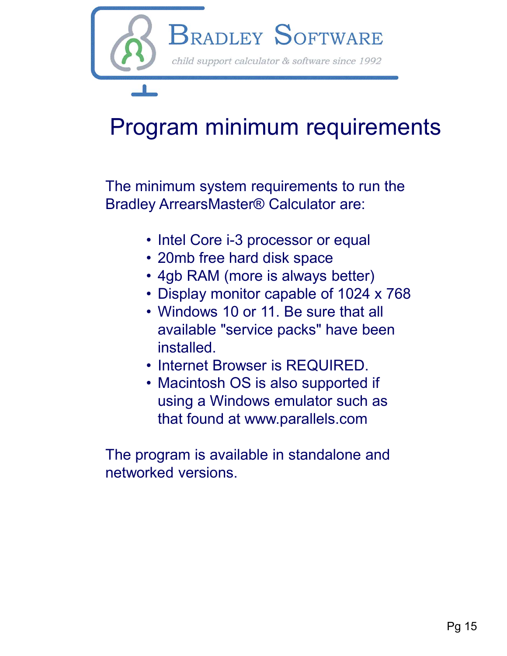

# Program minimum requirements

The minimum system requirements to run the **Gram minimum requirements<br>
gram minimum requirements<br>
inimum system requirements to run the<br>
by ArrearsMaster® Calculator are:<br>
• Intel Core i-3 processor or equal<br>
• 20mb free hard disk space<br>
• 4gb RAM (more is always b** 

- 
- 
- 
- 
- **gram minimum requirements**<br>
inimum system requirements to run the<br>
ey ArrearsMaster® Calculator are:<br>
 Intel Core i-3 processor or equal<br>
 20mb free hard disk space<br>
 4gb RAM (more is always better)<br>
 Display monitor **gram minimum requirements**<br>
inimum system requirements to run the<br>
ey ArrearsMaster® Calculator are:<br>
• Intel Core i-3 processor or equal<br>
• 20mb free hard disk space<br>
• 4gb RAM (more is always better)<br>
• Display monitor available "service packs" have been installed. inimum system requirements to run the<br>
ey ArrearsMaster® Calculator are:<br>
• Intel Core i-3 processor or equal<br>
• 20mb free hard disk space<br>
• 4gb RAM (more is always better)<br>
• Display monitor capable of 1024 x 768<br>
• Wind inimum system requirements to run the<br>
ey ArrearsMaster® Calculator are:<br>
• Intel Core i-3 processor or equal<br>
• 20mb free hard disk space<br>
• 4gb RAM (more is always better)<br>
• Display monitor capable of 1024 x 768<br>
• Wind
- 
- using a Windows emulator such as that found at www.parallels.com

The program is available in standalone and networked versions.